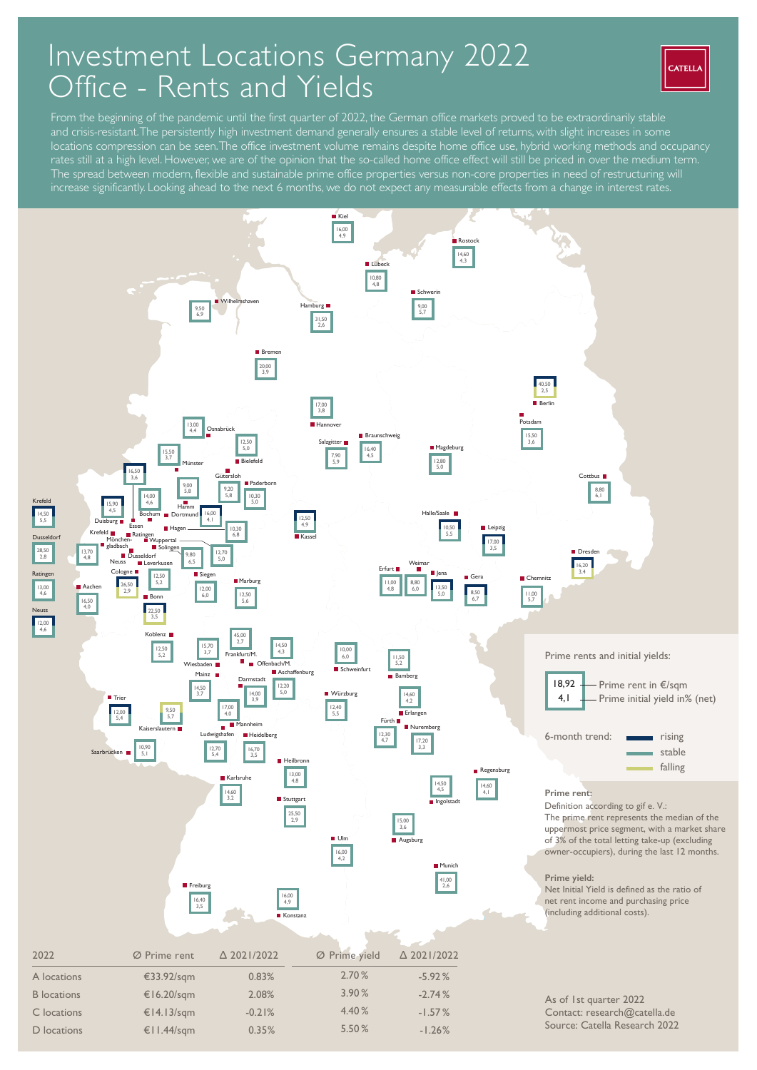## Investment Locations Germany 2022 Office - Rents and Yields



From the beginning of the pandemic until the first quarter of 2022, the German office markets proved to be extraordinarily stable and crisis-resistant. The persistently high investment demand generally ensures a stable level of returns, with slight increases in some locations compression can be seen. The office investment volume remains despite home office use, hybrid working methods and occupancy rates still at a high level. However, we are of the opinion that the so-called home office effect will still be priced in over the medium term. The spread between modern, flexible and sustainable prime office properties versus non-core properties in need of restructuring will increase significantly. Looking ahead to the next 6 months, we do not expect any measurable effects from a change in interest rates.